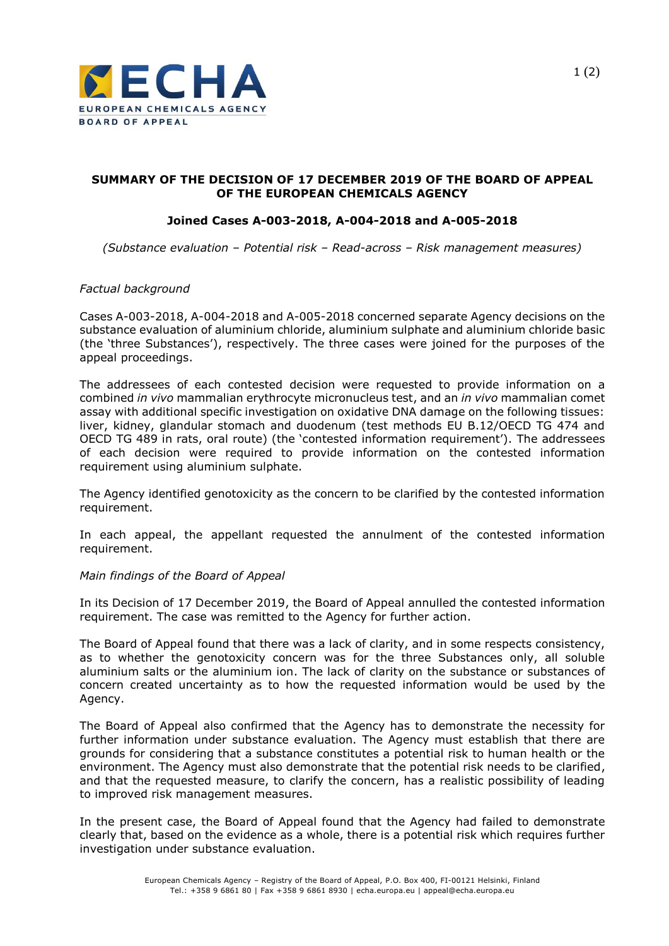

# **SUMMARY OF THE DECISION OF 17 DECEMBER 2019 OF THE BOARD OF APPEAL OF THE EUROPEAN CHEMICALS AGENCY**

# **Joined Cases A-003-2018, A-004-2018 and A-005-2018**

*(Substance evaluation – Potential risk – Read-across – Risk management measures)*

### *Factual background*

Cases A-003-2018, A-004-2018 and A-005-2018 concerned separate Agency decisions on the substance evaluation of aluminium chloride, aluminium sulphate and aluminium chloride basic (the 'three Substances'), respectively. The three cases were joined for the purposes of the appeal proceedings.

The addressees of each contested decision were requested to provide information on a combined *in vivo* mammalian erythrocyte micronucleus test, and an *in vivo* mammalian comet assay with additional specific investigation on oxidative DNA damage on the following tissues: liver, kidney, glandular stomach and duodenum (test methods EU B.12/OECD TG 474 and OECD TG 489 in rats, oral route) (the 'contested information requirement'). The addressees of each decision were required to provide information on the contested information requirement using aluminium sulphate.

The Agency identified genotoxicity as the concern to be clarified by the contested information requirement.

In each appeal, the appellant requested the annulment of the contested information requirement.

# *Main findings of the Board of Appeal*

In its Decision of 17 December 2019, the Board of Appeal annulled the contested information requirement. The case was remitted to the Agency for further action.

The Board of Appeal found that there was a lack of clarity, and in some respects consistency, as to whether the genotoxicity concern was for the three Substances only, all soluble aluminium salts or the aluminium ion. The lack of clarity on the substance or substances of concern created uncertainty as to how the requested information would be used by the Agency.

The Board of Appeal also confirmed that the Agency has to demonstrate the necessity for further information under substance evaluation. The Agency must establish that there are grounds for considering that a substance constitutes a potential risk to human health or the environment. The Agency must also demonstrate that the potential risk needs to be clarified, and that the requested measure, to clarify the concern, has a realistic possibility of leading to improved risk management measures.

In the present case, the Board of Appeal found that the Agency had failed to demonstrate clearly that, based on the evidence as a whole, there is a potential risk which requires further investigation under substance evaluation.